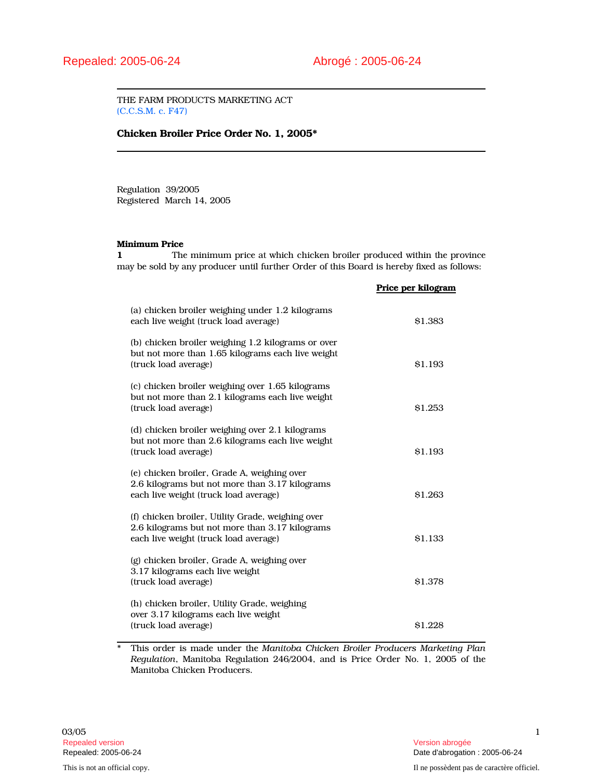THE FARM PRODUCTS MARKETING ACT (C.C.S.M. c. F47)

## Chicken Broiler Price Order No. 1, 2005\*

Regulation 39/2005 Registered March 14, 2005

## Minimum Price

1 The minimum price at which chicken broiler produced within the province may be sold by any producer until further Order of this Board is hereby fixed as follows:

|                                                                                                                                              | Price per kilogram |
|----------------------------------------------------------------------------------------------------------------------------------------------|--------------------|
| (a) chicken broiler weighing under 1.2 kilograms<br>each live weight (truck load average)                                                    | \$1.383            |
| (b) chicken broiler weighing 1.2 kilograms or over<br>but not more than 1.65 kilograms each live weight<br>(truck load average)              | \$1.193            |
| (c) chicken broiler weighing over 1.65 kilograms<br>but not more than 2.1 kilograms each live weight<br>(truck load average)                 | \$1.253            |
| (d) chicken broiler weighing over 2.1 kilograms<br>but not more than 2.6 kilograms each live weight<br>(truck load average)                  | <b>S1.193</b>      |
| (e) chicken broiler, Grade A, weighing over<br>2.6 kilograms but not more than 3.17 kilograms<br>each live weight (truck load average)       | \$1.263            |
| (f) chicken broiler, Utility Grade, weighing over<br>2.6 kilograms but not more than 3.17 kilograms<br>each live weight (truck load average) | \$1.133            |
| (g) chicken broiler, Grade A, weighing over<br>3.17 kilograms each live weight<br>(truck load average)                                       | \$1.378            |
| (h) chicken broiler, Utility Grade, weighing<br>over 3.17 kilograms each live weight<br>(truck load average)                                 | \$1.228            |

\* This order is made under the Manitoba Chicken Broiler Producers Marketing Plan Regulation, Manitoba Regulation 246/2004, and is Price Order No. 1, 2005 of the Manitoba Chicken Producers.